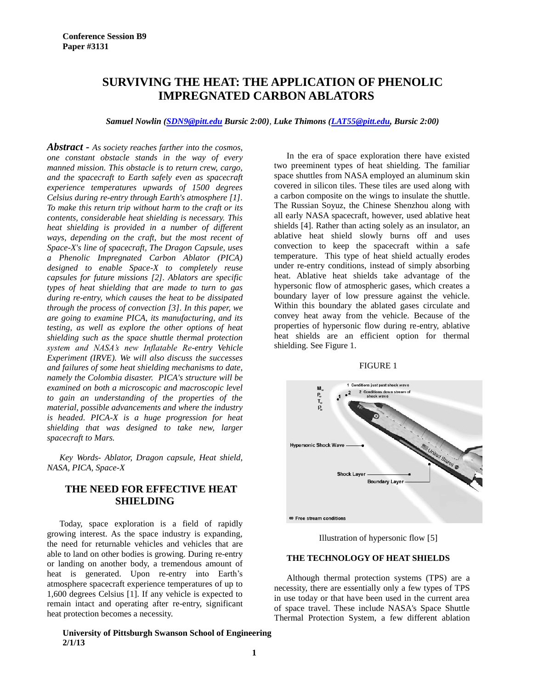# **SURVIVING THE HEAT: THE APPLICATION OF PHENOLIC IMPREGNATED CARBON ABLATORS**

*Samuel Nowlin [\(SDN9@pitt.edu](mailto:SDN9@pitt.edu) Bursic 2:00), Luke Thimons [\(LAT55@pitt.edu,](mailto:LAT55@pitt.edu) Bursic 2:00)*

*Abstract - As society reaches farther into the cosmos, one constant obstacle stands in the way of every manned mission. This obstacle is to return crew, cargo, and the spacecraft to Earth safely even as spacecraft experience temperatures upwards of 1500 degrees Celsius during re-entry through Earth's atmosphere [1]. To make this return trip without harm to the craft or its contents, considerable heat shielding is necessary. This heat shielding is provided in a number of different ways, depending on the craft, but the most recent of Space-X's line of spacecraft, The Dragon Capsule, uses a Phenolic Impregnated Carbon Ablator (PICA) designed to enable Space-X to completely reuse capsules for future missions [2]. Ablators are specific types of heat shielding that are made to turn to gas during re-entry, which causes the heat to be dissipated through the process of convection [3]. In this paper, we are going to examine PICA, its manufacturing, and its testing, as well as explore the other options of heat shielding such as the space shuttle thermal protection system and NASA's new Inflatable Re-entry Vehicle Experiment (IRVE). We will also discuss the successes and failures of some heat shielding mechanisms to date, namely the Colombia disaster. PICA's structure will be examined on both a microscopic and macroscopic level to gain an understanding of the properties of the material, possible advancements and where the industry is headed. PICA-X is a huge progression for heat shielding that was designed to take new, larger spacecraft to Mars.*

*Key Words- Ablator, Dragon capsule, Heat shield, NASA, PICA, Space-X*

# **THE NEED FOR EFFECTIVE HEAT SHIELDING**

Today, space exploration is a field of rapidly growing interest. As the space industry is expanding, the need for returnable vehicles and vehicles that are able to land on other bodies is growing. During re-entry or landing on another body, a tremendous amount of heat is generated. Upon re-entry into Earth's atmosphere spacecraft experience temperatures of up to 1,600 degrees Celsius [1]. If any vehicle is expected to remain intact and operating after re-entry, significant heat protection becomes a necessity.

### **University of Pittsburgh Swanson School of Engineering 2/1/13**

In the era of space exploration there have existed two preeminent types of heat shielding. The familiar space shuttles from NASA employed an aluminum skin covered in silicon tiles. These tiles are used along with a carbon composite on the wings to insulate the shuttle. The Russian Soyuz, the Chinese Shenzhou along with all early NASA spacecraft, however, used ablative heat shields [4]. Rather than acting solely as an insulator, an ablative heat shield slowly burns off and uses convection to keep the spacecraft within a safe temperature. This type of heat shield actually erodes under re-entry conditions, instead of simply absorbing heat. Ablative heat shields take advantage of the hypersonic flow of atmospheric gases, which creates a boundary layer of low pressure against the vehicle. Within this boundary the ablated gases circulate and convey heat away from the vehicle. Because of the properties of hypersonic flow during re-entry, ablative heat shields are an efficient option for thermal shielding. See Figure 1.

### FIGURE 1



Illustration of hypersonic flow [5]

### **THE TECHNOLOGY OF HEAT SHIELDS**

Although thermal protection systems (TPS) are a necessity, there are essentially only a few types of TPS in use today or that have been used in the current area of space travel. These include NASA's Space Shuttle Thermal Protection System, a few different ablation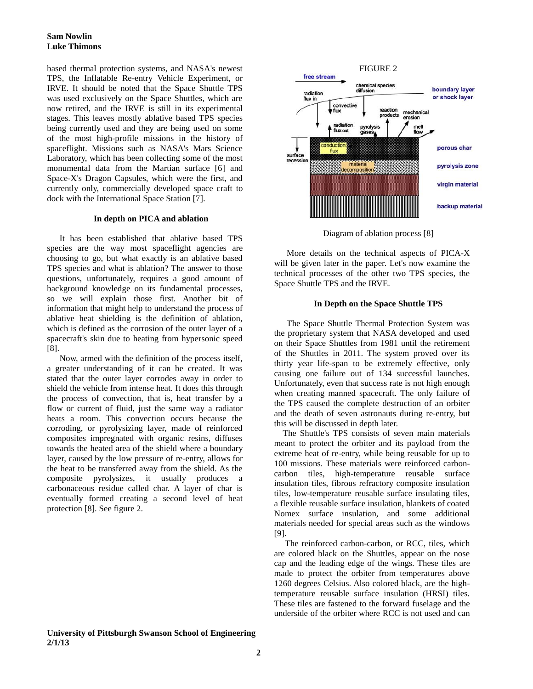### **Sam Nowlin Luke Thimons**

based thermal protection systems, and NASA's newest TPS, the Inflatable Re-entry Vehicle Experiment, or IRVE. It should be noted that the Space Shuttle TPS was used exclusively on the Space Shuttles, which are now retired, and the IRVE is still in its experimental stages. This leaves mostly ablative based TPS species being currently used and they are being used on some of the most high-profile missions in the history of spaceflight. Missions such as NASA's Mars Science Laboratory, which has been collecting some of the most monumental data from the Martian surface [6] and Space-X's Dragon Capsules, which were the first, and currently only, commercially developed space craft to dock with the International Space Station [7].

### **In depth on PICA and ablation**

It has been established that ablative based TPS species are the way most spaceflight agencies are choosing to go, but what exactly is an ablative based TPS species and what is ablation? The answer to those questions, unfortunately, requires a good amount of background knowledge on its fundamental processes, so we will explain those first. Another bit of information that might help to understand the process of ablative heat shielding is the definition of ablation, which is defined as the corrosion of the outer layer of a spacecraft's skin due to heating from hypersonic speed [8].

Now, armed with the definition of the process itself, a greater understanding of it can be created. It was stated that the outer layer corrodes away in order to shield the vehicle from intense heat. It does this through the process of convection, that is, heat transfer by a flow or current of fluid, just the same way a radiator heats a room. This convection occurs because the corroding, or pyrolysizing layer, made of reinforced composites impregnated with organic resins, diffuses towards the heated area of the shield where a boundary layer, caused by the low pressure of re-entry, allows for the heat to be transferred away from the shield. As the composite pyrolysizes, it usually produces a carbonaceous residue called char. A layer of char is eventually formed creating a second level of heat protection [8]. See figure 2.





Diagram of ablation process [8]

More details on the technical aspects of PICA-X will be given later in the paper. Let's now examine the technical processes of the other two TPS species, the Space Shuttle TPS and the IRVE.

### **In Depth on the Space Shuttle TPS**

The Space Shuttle Thermal Protection System was the proprietary system that NASA developed and used on their Space Shuttles from 1981 until the retirement of the Shuttles in 2011. The system proved over its thirty year life-span to be extremely effective, only causing one failure out of 134 successful launches. Unfortunately, even that success rate is not high enough when creating manned spacecraft. The only failure of the TPS caused the complete destruction of an orbiter and the death of seven astronauts during re-entry, but this will be discussed in depth later.

 The Shuttle's TPS consists of seven main materials meant to protect the orbiter and its payload from the extreme heat of re-entry, while being reusable for up to 100 missions. These materials were reinforced carboncarbon tiles, high-temperature reusable surface insulation tiles, fibrous refractory composite insulation tiles, low-temperature reusable surface insulating tiles, a flexible reusable surface insulation, blankets of coated Nomex surface insulation, and some additional materials needed for special areas such as the windows [9].

 The reinforced carbon-carbon, or RCC, tiles, which are colored black on the Shuttles, appear on the nose cap and the leading edge of the wings. These tiles are made to protect the orbiter from temperatures above 1260 degrees Celsius. Also colored black, are the hightemperature reusable surface insulation (HRSI) tiles. These tiles are fastened to the forward fuselage and the underside of the orbiter where RCC is not used and can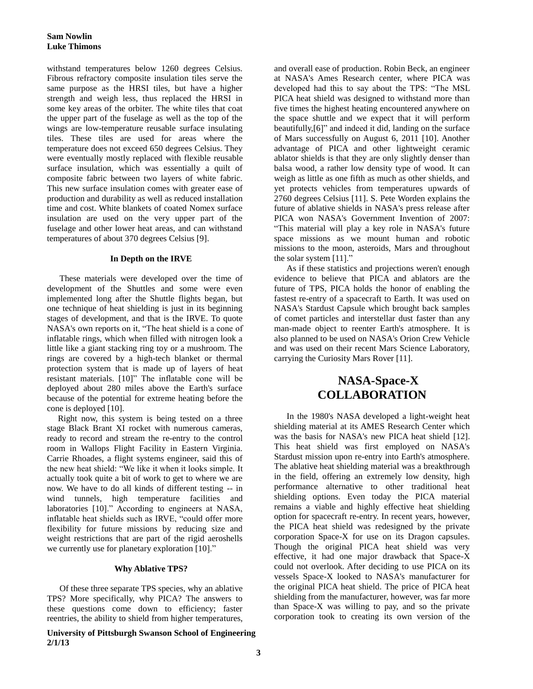withstand temperatures below 1260 degrees Celsius. Fibrous refractory composite insulation tiles serve the same purpose as the HRSI tiles, but have a higher strength and weigh less, thus replaced the HRSI in some key areas of the orbiter. The white tiles that coat the upper part of the fuselage as well as the top of the wings are low-temperature reusable surface insulating tiles. These tiles are used for areas where the temperature does not exceed 650 degrees Celsius. They were eventually mostly replaced with flexible reusable surface insulation, which was essentially a quilt of composite fabric between two layers of white fabric. This new surface insulation comes with greater ease of production and durability as well as reduced installation time and cost. White blankets of coated Nomex surface insulation are used on the very upper part of the fuselage and other lower heat areas, and can withstand temperatures of about 370 degrees Celsius [9].

### **In Depth on the IRVE**

These materials were developed over the time of development of the Shuttles and some were even implemented long after the Shuttle flights began, but one technique of heat shielding is just in its beginning stages of development, and that is the IRVE. To quote NASA's own reports on it, "The heat shield is a cone of inflatable rings, which when filled with nitrogen look a little like a giant stacking ring toy or a mushroom. The rings are covered by a high-tech blanket or thermal protection system that is made up of layers of heat resistant materials. [10]" The inflatable cone will be deployed about 280 miles above the Earth's surface because of the potential for extreme heating before the cone is deployed [10].

 Right now, this system is being tested on a three stage Black Brant XI rocket with numerous cameras, ready to record and stream the re-entry to the control room in Wallops Flight Facility in Eastern Virginia. Carrie Rhoades, a flight systems engineer, said this of the new heat shield: "We like it when it looks simple. It actually took quite a bit of work to get to where we are now. We have to do all kinds of different testing -- in wind tunnels, high temperature facilities and laboratories [10]." According to engineers at NASA, inflatable heat shields such as IRVE, "could offer more flexibility for future missions by reducing size and weight restrictions that are part of the rigid aeroshells we currently use for planetary exploration [10]."

### **Why Ablative TPS?**

Of these three separate TPS species, why an ablative TPS? More specifically, why PICA? The answers to these questions come down to efficiency; faster reentries, the ability to shield from higher temperatures,

### **University of Pittsburgh Swanson School of Engineering 2/1/13**

and overall ease of production. Robin Beck, an engineer at NASA's Ames Research center, where PICA was developed had this to say about the TPS: "The MSL PICA heat shield was designed to withstand more than five times the highest heating encountered anywhere on the space shuttle and we expect that it will perform beautifully,[6]" and indeed it did, landing on the surface of Mars successfully on August 6, 2011 [10]. Another advantage of PICA and other lightweight ceramic ablator shields is that they are only slightly denser than balsa wood, a rather low density type of wood. It can weigh as little as one fifth as much as other shields, and yet protects vehicles from temperatures upwards of 2760 degrees Celsius [11]. S. Pete Worden explains the future of ablative shields in NASA's press release after PICA won NASA's Government Invention of 2007: "This material will play a key role in NASA's future space missions as we mount human and robotic missions to the moon, asteroids, Mars and throughout the solar system [11]."

As if these statistics and projections weren't enough evidence to believe that PICA and ablators are the future of TPS, PICA holds the honor of enabling the fastest re-entry of a spacecraft to Earth. It was used on NASA's Stardust Capsule which brought back samples of comet particles and interstellar dust faster than any man-made object to reenter Earth's atmosphere. It is also planned to be used on NASA's Orion Crew Vehicle and was used on their recent Mars Science Laboratory, carrying the Curiosity Mars Rover [11].

# **NASA-Space-X COLLABORATION**

In the 1980's NASA developed a light-weight heat shielding material at its AMES Research Center which was the basis for NASA's new PICA heat shield [12]. This heat shield was first employed on NASA's Stardust mission upon re-entry into Earth's atmosphere. The ablative heat shielding material was a breakthrough in the field, offering an extremely low density, high performance alternative to other traditional heat shielding options. Even today the PICA material remains a viable and highly effective heat shielding option for spacecraft re-entry. In recent years, however, the PICA heat shield was redesigned by the private corporation Space-X for use on its Dragon capsules. Though the original PICA heat shield was very effective, it had one major drawback that Space-X could not overlook. After deciding to use PICA on its vessels Space-X looked to NASA's manufacturer for the original PICA heat shield. The price of PICA heat shielding from the manufacturer, however, was far more than Space-X was willing to pay, and so the private corporation took to creating its own version of the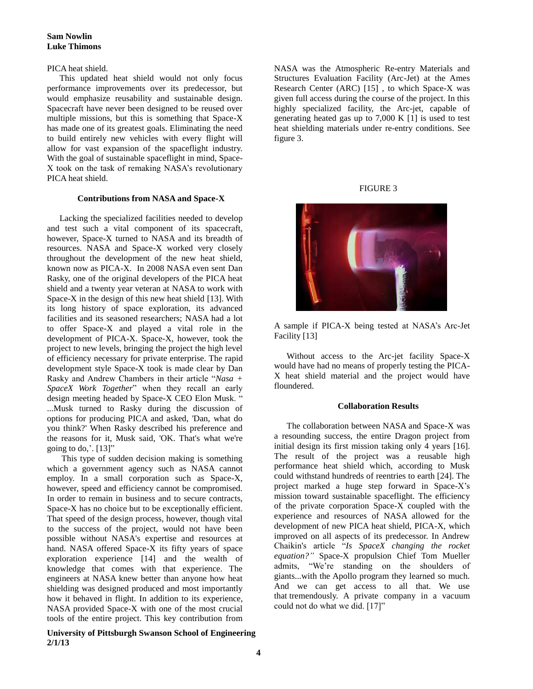### **Sam Nowlin Luke Thimons**

PICA heat shield.

This updated heat shield would not only focus performance improvements over its predecessor, but would emphasize reusability and sustainable design. Spacecraft have never been designed to be reused over multiple missions, but this is something that Space-X has made one of its greatest goals. Eliminating the need to build entirely new vehicles with every flight will allow for vast expansion of the spaceflight industry. With the goal of sustainable spaceflight in mind, Space-X took on the task of remaking NASA's revolutionary PICA heat shield.

### **Contributions from NASA and Space-X**

Lacking the specialized facilities needed to develop and test such a vital component of its spacecraft, however, Space-X turned to NASA and its breadth of resources. NASA and Space-X worked very closely throughout the development of the new heat shield, known now as PICA-X. In 2008 NASA even sent Dan Rasky, one of the original developers of the PICA heat shield and a twenty year veteran at NASA to work with Space-X in the design of this new heat shield [13]. With its long history of space exploration, its advanced facilities and its seasoned researchers; NASA had a lot to offer Space-X and played a vital role in the development of PICA-X. Space-X, however, took the project to new levels, bringing the project the high level of efficiency necessary for private enterprise. The rapid development style Space-X took is made clear by Dan Rasky and Andrew Chambers in their article "*Nasa + SpaceX Work Together*" when they recall an early design meeting headed by Space-X CEO Elon Musk. " ...Musk turned to Rasky during the discussion of options for producing PICA and asked, 'Dan, what do you think?' When Rasky described his preference and the reasons for it, Musk said, 'OK. That's what we're going to do,'.  $[13]$ "

This type of sudden decision making is something which a government agency such as NASA cannot employ. In a small corporation such as Space-X, however, speed and efficiency cannot be compromised. In order to remain in business and to secure contracts, Space-X has no choice but to be exceptionally efficient. That speed of the design process, however, though vital to the success of the project, would not have been possible without NASA's expertise and resources at hand. NASA offered Space-X its fifty years of space exploration experience [14] and the wealth of knowledge that comes with that experience. The engineers at NASA knew better than anyone how heat shielding was designed produced and most importantly how it behaved in flight. In addition to its experience, NASA provided Space-X with one of the most crucial tools of the entire project. This key contribution from

### **University of Pittsburgh Swanson School of Engineering 2/1/13**

NASA was the Atmospheric Re-entry Materials and Structures Evaluation Facility (Arc-Jet) at the Ames Research Center (ARC) [15] , to which Space-X was given full access during the course of the project. In this highly specialized facility, the Arc-jet, capable of generating heated gas up to 7,000 K [1] is used to test heat shielding materials under re-entry conditions. See figure 3.

### FIGURE 3



A sample if PICA-X being tested at NASA's Arc-Jet Facility [13]

Without access to the Arc-jet facility Space-X would have had no means of properly testing the PICA-X heat shield material and the project would have floundered.

### **Collaboration Results**

The collaboration between NASA and Space-X was a resounding success, the entire Dragon project from initial design its first mission taking only 4 years [16]. The result of the project was a reusable high performance heat shield which, according to Musk could withstand hundreds of reentries to earth [24]. The project marked a huge step forward in Space-X's mission toward sustainable spaceflight. The efficiency of the private corporation Space-X coupled with the experience and resources of NASA allowed for the development of new PICA heat shield, PICA-X, which improved on all aspects of its predecessor. In Andrew Chaikin's article "*Is SpaceX changing the rocket equation?"* Space-X propulsion Chief Tom Mueller admits, "We're standing on the shoulders of giants...with the Apollo program they learned so much. And we can get access to all that. We use that tremendously. A private company in a vacuum could not do what we did. [17]"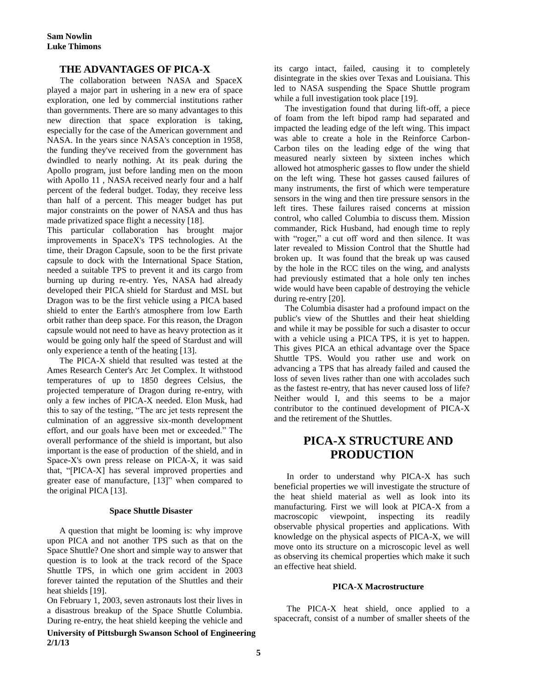### **THE ADVANTAGES OF PICA-X**

The collaboration between NASA and SpaceX played a major part in ushering in a new era of space exploration, one led by commercial institutions rather than governments. There are so many advantages to this new direction that space exploration is taking, especially for the case of the American government and NASA. In the years since NASA's conception in 1958, the funding they've received from the government has dwindled to nearly nothing. At its peak during the Apollo program, just before landing men on the moon with Apollo 11 , NASA received nearly four and a half percent of the federal budget. Today, they receive less than half of a percent. This meager budget has put major constraints on the power of NASA and thus has made privatized space flight a necessity [18].

This particular collaboration has brought major improvements in SpaceX's TPS technologies. At the time, their Dragon Capsule, soon to be the first private capsule to dock with the International Space Station, needed a suitable TPS to prevent it and its cargo from burning up during re-entry. Yes, NASA had already developed their PICA shield for Stardust and MSL but Dragon was to be the first vehicle using a PICA based shield to enter the Earth's atmosphere from low Earth orbit rather than deep space. For this reason, the Dragon capsule would not need to have as heavy protection as it would be going only half the speed of Stardust and will only experience a tenth of the heating [13].

The PICA-X shield that resulted was tested at the Ames Research Center's Arc Jet Complex. It withstood temperatures of up to 1850 degrees Celsius, the projected temperature of Dragon during re-entry, with only a few inches of PICA-X needed. Elon Musk, had this to say of the testing, "The arc jet tests represent the culmination of an aggressive six-month development effort, and our goals have been met or exceeded." The overall performance of the shield is important, but also important is the ease of production of the shield, and in Space-X's own press release on PICA-X, it was said that, "[PICA-X] has several improved properties and greater ease of manufacture, [13]" when compared to the original PICA [13].

#### **Space Shuttle Disaster**

A question that might be looming is: why improve upon PICA and not another TPS such as that on the Space Shuttle? One short and simple way to answer that question is to look at the track record of the Space Shuttle TPS, in which one grim accident in 2003 forever tainted the reputation of the Shuttles and their heat shields [19].

On February 1, 2003, seven astronauts lost their lives in a disastrous breakup of the Space Shuttle Columbia. During re-entry, the heat shield keeping the vehicle and

**University of Pittsburgh Swanson School of Engineering 2/1/13**

its cargo intact, failed, causing it to completely disintegrate in the skies over Texas and Louisiana. This led to NASA suspending the Space Shuttle program while a full investigation took place [19].

 The investigation found that during lift-off, a piece of foam from the left bipod ramp had separated and impacted the leading edge of the left wing. This impact was able to create a hole in the Reinforce Carbon-Carbon tiles on the leading edge of the wing that measured nearly sixteen by sixteen inches which allowed hot atmospheric gasses to flow under the shield on the left wing. These hot gasses caused failures of many instruments, the first of which were temperature sensors in the wing and then tire pressure sensors in the left tires. These failures raised concerns at mission control, who called Columbia to discuss them. Mission commander, Rick Husband, had enough time to reply with "roger," a cut off word and then silence. It was later revealed to Mission Control that the Shuttle had broken up. It was found that the break up was caused by the hole in the RCC tiles on the wing, and analysts had previously estimated that a hole only ten inches wide would have been capable of destroying the vehicle during re-entry [20].

 The Columbia disaster had a profound impact on the public's view of the Shuttles and their heat shielding and while it may be possible for such a disaster to occur with a vehicle using a PICA TPS, it is yet to happen. This gives PICA an ethical advantage over the Space Shuttle TPS. Would you rather use and work on advancing a TPS that has already failed and caused the loss of seven lives rather than one with accolades such as the fastest re-entry, that has never caused loss of life? Neither would I, and this seems to be a major contributor to the continued development of PICA-X and the retirement of the Shuttles.

# **PICA-X STRUCTURE AND PRODUCTION**

In order to understand why PICA-X has such beneficial properties we will investigate the structure of the heat shield material as well as look into its manufacturing. First we will look at PICA-X from a macroscopic viewpoint, inspecting its readily observable physical properties and applications. With knowledge on the physical aspects of PICA-X, we will move onto its structure on a microscopic level as well as observing its chemical properties which make it such an effective heat shield.

#### **PICA-X Macrostructure**

The PICA-X heat shield, once applied to a spacecraft, consist of a number of smaller sheets of the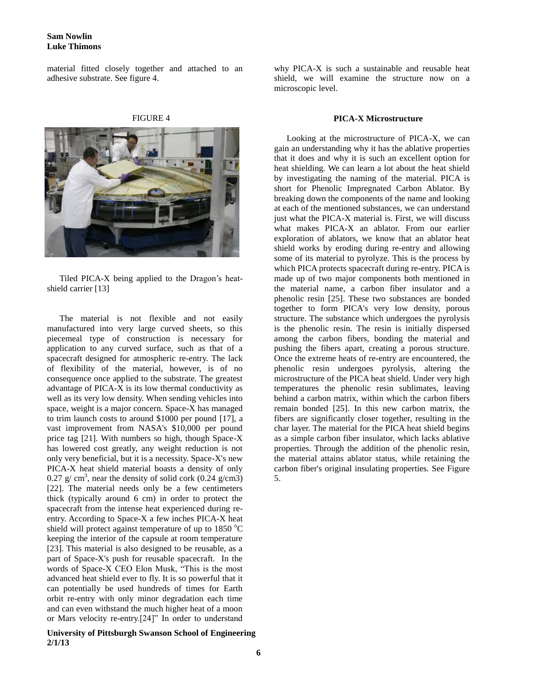### **Sam Nowlin Luke Thimons**

material fitted closely together and attached to an adhesive substrate. See figure 4.

| IGU<br>'Rì |
|------------|
|------------|



Tiled PICA-X being applied to the Dragon's heatshield carrier [13]

The material is not flexible and not easily manufactured into very large curved sheets, so this piecemeal type of construction is necessary for application to any curved surface, such as that of a spacecraft designed for atmospheric re-entry. The lack of flexibility of the material, however, is of no consequence once applied to the substrate. The greatest advantage of PICA-X is its low thermal conductivity as well as its very low density. When sending vehicles into space, weight is a major concern. Space-X has managed to trim launch costs to around \$1000 per pound [17], a vast improvement from NASA's \$10,000 per pound price tag [21]. With numbers so high, though Space-X has lowered cost greatly, any weight reduction is not only very beneficial, but it is a necessity. Space-X's new PICA-X heat shield material boasts a density of only 0.27  $g/cm^3$ , near the density of solid cork (0.24  $g/cm3$ ) [22]. The material needs only be a few centimeters thick (typically around 6 cm) in order to protect the spacecraft from the intense heat experienced during reentry. According to Space-X a few inches PICA-X heat shield will protect against temperature of up to  $1850 \degree C$ keeping the interior of the capsule at room temperature [23]. This material is also designed to be reusable, as a part of Space-X's push for reusable spacecraft. In the words of Space-X CEO Elon Musk, "This is the most advanced heat shield ever to fly. It is so powerful that it can potentially be used hundreds of times for Earth orbit re-entry with only minor degradation each time and can even withstand the much higher heat of a moon or Mars velocity re-entry.[24]" In order to understand

**University of Pittsburgh Swanson School of Engineering 2/1/13**

why PICA-X is such a sustainable and reusable heat shield, we will examine the structure now on a microscopic level.

#### **PICA-X Microstructure**

Looking at the microstructure of PICA-X, we can gain an understanding why it has the ablative properties that it does and why it is such an excellent option for heat shielding. We can learn a lot about the heat shield by investigating the naming of the material. PICA is short for Phenolic Impregnated Carbon Ablator. By breaking down the components of the name and looking at each of the mentioned substances, we can understand just what the PICA-X material is. First, we will discuss what makes PICA-X an ablator. From our earlier exploration of ablators, we know that an ablator heat shield works by eroding during re-entry and allowing some of its material to pyrolyze. This is the process by which PICA protects spacecraft during re-entry. PICA is made up of two major components both mentioned in the material name, a carbon fiber insulator and a phenolic resin [25]. These two substances are bonded together to form PICA's very low density, porous structure. The substance which undergoes the pyrolysis is the phenolic resin. The resin is initially dispersed among the carbon fibers, bonding the material and pushing the fibers apart, creating a porous structure. Once the extreme heats of re-entry are encountered, the phenolic resin undergoes pyrolysis, altering the microstructure of the PICA heat shield. Under very high temperatures the phenolic resin sublimates, leaving behind a carbon matrix, within which the carbon fibers remain bonded [25]. In this new carbon matrix, the fibers are significantly closer together, resulting in the char layer. The material for the PICA heat shield begins as a simple carbon fiber insulator, which lacks ablative properties. Through the addition of the phenolic resin, the material attains ablator status, while retaining the carbon fiber's original insulating properties. See Figure 5.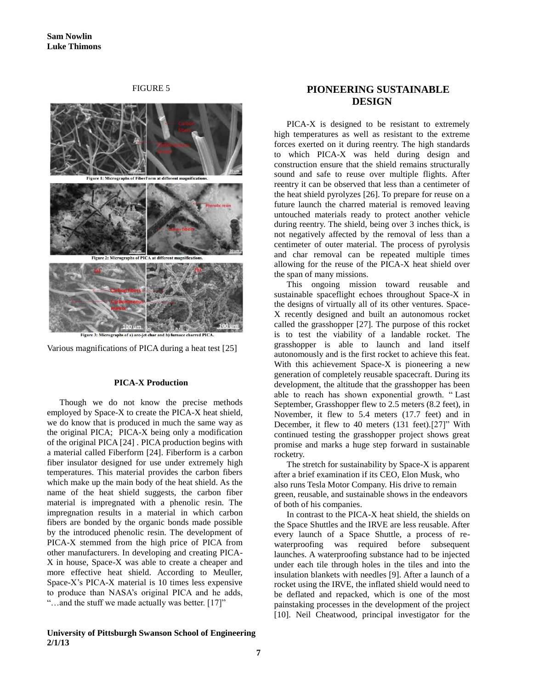FIGURE 5



Various magnifications of PICA during a heat test [25]

### **PICA-X Production**

Though we do not know the precise methods employed by Space-X to create the PICA-X heat shield, we do know that is produced in much the same way as the original PICA; PICA-X being only a modification of the original PICA [24] . PICA production begins with a material called Fiberform [24]. Fiberform is a carbon fiber insulator designed for use under extremely high temperatures. This material provides the carbon fibers which make up the main body of the heat shield. As the name of the heat shield suggests, the carbon fiber material is impregnated with a phenolic resin. The impregnation results in a material in which carbon fibers are bonded by the organic bonds made possible by the introduced phenolic resin. The development of PICA-X stemmed from the high price of PICA from other manufacturers. In developing and creating PICA-X in house, Space-X was able to create a cheaper and more effective heat shield. According to Meuller, Space-X's PICA-X material is 10 times less expensive to produce than NASA's original PICA and he adds, "...and the stuff we made actually was better. [17]"

#### **University of Pittsburgh Swanson School of Engineering 2/1/13**

## **PIONEERING SUSTAINABLE DESIGN**

PICA-X is designed to be resistant to extremely high temperatures as well as resistant to the extreme forces exerted on it during reentry. The high standards to which PICA-X was held during design and construction ensure that the shield remains structurally sound and safe to reuse over multiple flights. After reentry it can be observed that less than a centimeter of the heat shield pyrolyzes [26]. To prepare for reuse on a future launch the charred material is removed leaving untouched materials ready to protect another vehicle during reentry. The shield, being over 3 inches thick, is not negatively affected by the removal of less than a centimeter of outer material. The process of pyrolysis and char removal can be repeated multiple times allowing for the reuse of the PICA-X heat shield over the span of many missions.

This ongoing mission toward reusable and sustainable spaceflight echoes throughout Space-X in the designs of virtually all of its other ventures. Space-X recently designed and built an autonomous rocket called the grasshopper [27]. The purpose of this rocket is to test the viability of a landable rocket. The grasshopper is able to launch and land itself autonomously and is the first rocket to achieve this feat. With this achievement Space-X is pioneering a new generation of completely reusable spacecraft. During its development, the altitude that the grasshopper has been able to reach has shown exponential growth. " Last September, Grasshopper flew to 2.5 meters (8.2 feet), in November, it flew to 5.4 meters (17.7 feet) and in December, it flew to 40 meters (131 feet).[27]" With continued testing the grasshopper project shows great promise and marks a huge step forward in sustainable rocketry.

The stretch for sustainability by Space-X is apparent after a brief examination if its CEO, Elon Musk, who also runs Tesla Motor Company. His drive to remain green, reusable, and sustainable shows in the endeavors of both of his companies.

In contrast to the PICA-X heat shield, the shields on the Space Shuttles and the IRVE are less reusable. After every launch of a Space Shuttle, a process of rewaterproofing was required before subsequent launches. A waterproofing substance had to be injected under each tile through holes in the tiles and into the insulation blankets with needles [9]. After a launch of a rocket using the IRVE, the inflated shield would need to be deflated and repacked, which is one of the most painstaking processes in the development of the project [10]. Neil Cheatwood, principal investigator for the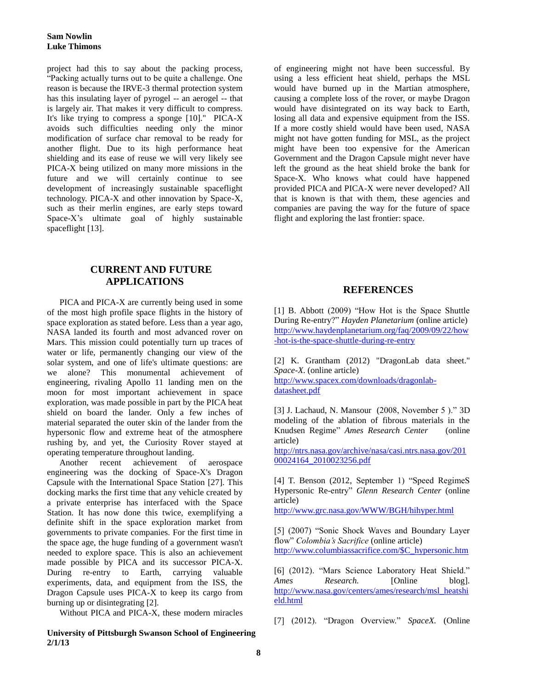project had this to say about the packing process, "Packing actually turns out to be quite a challenge. One reason is because the IRVE-3 thermal protection system has this insulating layer of pyrogel -- an aerogel -- that is largely air. That makes it very difficult to compress. It's like trying to compress a sponge [10]." PICA-X avoids such difficulties needing only the minor modification of surface char removal to be ready for another flight. Due to its high performance heat shielding and its ease of reuse we will very likely see PICA-X being utilized on many more missions in the future and we will certainly continue to see development of increasingly sustainable spaceflight technology. PICA-X and other innovation by Space-X, such as their merlin engines, are early steps toward Space-X's ultimate goal of highly sustainable spaceflight [13].

# **CURRENT AND FUTURE APPLICATIONS**

PICA and PICA-X are currently being used in some of the most high profile space flights in the history of space exploration as stated before. Less than a year ago, NASA landed its fourth and most advanced rover on Mars. This mission could potentially turn up traces of water or life, permanently changing our view of the solar system, and one of life's ultimate questions: are we alone? This monumental achievement of engineering, rivaling Apollo 11 landing men on the moon for most important achievement in space exploration, was made possible in part by the PICA heat shield on board the lander. Only a few inches of material separated the outer skin of the lander from the hypersonic flow and extreme heat of the atmosphere rushing by, and yet, the Curiosity Rover stayed at operating temperature throughout landing.

Another recent achievement of aerospace engineering was the docking of Space-X's Dragon Capsule with the International Space Station [27]. This docking marks the first time that any vehicle created by a private enterprise has interfaced with the Space Station. It has now done this twice, exemplifying a definite shift in the space exploration market from governments to private companies. For the first time in the space age, the huge funding of a government wasn't needed to explore space. This is also an achievement made possible by PICA and its successor PICA-X. During re-entry to Earth, carrying valuable experiments, data, and equipment from the ISS, the Dragon Capsule uses PICA-X to keep its cargo from burning up or disintegrating [2].

Without PICA and PICA-X, these modern miracles

### **University of Pittsburgh Swanson School of Engineering 2/1/13**

of engineering might not have been successful. By using a less efficient heat shield, perhaps the MSL would have burned up in the Martian atmosphere, causing a complete loss of the rover, or maybe Dragon would have disintegrated on its way back to Earth, losing all data and expensive equipment from the ISS. If a more costly shield would have been used, NASA might not have gotten funding for MSL, as the project might have been too expensive for the American Government and the Dragon Capsule might never have left the ground as the heat shield broke the bank for Space-X. Who knows what could have happened provided PICA and PICA-X were never developed? All that is known is that with them, these agencies and companies are paving the way for the future of space flight and exploring the last frontier: space.

## **REFERENCES**

[1] B. Abbott (2009) "How Hot is the Space Shuttle During Re-entry?" *Hayden Planetarium* (online article) [http://www.haydenplanetarium.org/faq/2009/09/22/how](http://www.haydenplanetarium.org/faq/2009/09/22/how-hot-is-the-space-shuttle-during-re-entry) [-hot-is-the-space-shuttle-during-re-entry](http://www.haydenplanetarium.org/faq/2009/09/22/how-hot-is-the-space-shuttle-during-re-entry)

[2] K. Grantham (2012) "DragonLab data sheet." *Space-X*. (online article)

[http://www.spacex.com/downloads/dragonlab](http://www.spacex.com/downloads/dragonlab-datasheet.pdf)[datasheet.pdf](http://www.spacex.com/downloads/dragonlab-datasheet.pdf)

[3] J. Lachaud, N. Mansour (2008, November 5 )." 3D modeling of the ablation of fibrous materials in the Knudsen Regime" *Ames Research Center* (online article)

[http://ntrs.nasa.gov/archive/nasa/casi.ntrs.nasa.gov/201](http://ntrs.nasa.gov/archive/nasa/casi.ntrs.nasa.gov/20100024164_2010023256.pdf) [00024164\\_2010023256.pdf](http://ntrs.nasa.gov/archive/nasa/casi.ntrs.nasa.gov/20100024164_2010023256.pdf)

[4] T. Benson (2012, September 1) "Speed RegimeS Hypersonic Re-entry" *Glenn Research Center* (online article)

<http://www.grc.nasa.gov/WWW/BGH/hihyper.html>

[5] (2007) "Sonic Shock Waves and Boundary Layer flow" *Colombia's Sacrifice* (online article) [http://www.columbiassacrifice.com/\\$C\\_hypersonic.htm](http://www.columbiassacrifice.com/$C_hypersonic.htm)

[6] (2012). "Mars Science Laboratory Heat Shield." *Ames Research.* [Online blog]. [http://www.nasa.gov/centers/ames/research/msl\\_heatshi](http://www.nasa.gov/centers/ames/research/msl_heatshield.html) [eld.html](http://www.nasa.gov/centers/ames/research/msl_heatshield.html)

[7] (2012). "Dragon Overview." *SpaceX.* (Online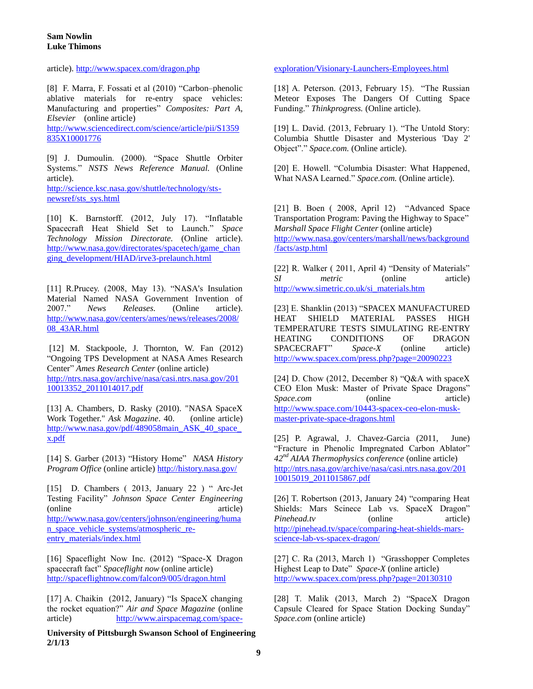article).<http://www.spacex.com/dragon.php>

[8] F. Marra, F. Fossati et al (2010) "Carbon–phenolic ablative materials for re-entry space vehicles: Manufacturing and properties" *Composites: Part A, Elsevier* (online article)

[http://www.sciencedirect.com/science/article/pii/S1359](http://www.sciencedirect.com/science/article/pii/S1359835X10001776) [835X10001776](http://www.sciencedirect.com/science/article/pii/S1359835X10001776)

[9] J. Dumoulin. (2000). "Space Shuttle Orbiter Systems." *NSTS News Reference Manual.* (Online article). [http://science.ksc.nasa.gov/shuttle/technology/sts-](http://science.ksc.nasa.gov/shuttle/technology/sts-newsref/sts_sys.html)

[newsref/sts\\_sys.html](http://science.ksc.nasa.gov/shuttle/technology/sts-newsref/sts_sys.html)

[10] K. Barnstorff. (2012, July 17). "Inflatable Spacecraft Heat Shield Set to Launch." *Space Technology Mission Directorate.* (Online article). [http://www.nasa.gov/directorates/spacetech/game\\_chan](http://www.nasa.gov/directorates/spacetech/game_changing_development/HIAD/irve3-prelaunch.html) [ging\\_development/HIAD/irve3-prelaunch.html](http://www.nasa.gov/directorates/spacetech/game_changing_development/HIAD/irve3-prelaunch.html)

[11] R.Prucey. (2008, May 13). "NASA's Insulation Material Named NASA Government Invention of 2007." *News Releases.* (Online article). [http://www.nasa.gov/centers/ames/news/releases/2008/](http://www.nasa.gov/centers/ames/news/releases/2008/08_43AR.html) [08\\_43AR.html](http://www.nasa.gov/centers/ames/news/releases/2008/08_43AR.html)

[12] M. Stackpoole, J. Thornton, W. Fan (2012) "Ongoing TPS Development at NASA Ames Research Center" *Ames Research Center* (online article) [http://ntrs.nasa.gov/archive/nasa/casi.ntrs.nasa.gov/201](http://ntrs.nasa.gov/archive/nasa/casi.ntrs.nasa.gov/20110013352_2011014017.pdf) [10013352\\_2011014017.pdf](http://ntrs.nasa.gov/archive/nasa/casi.ntrs.nasa.gov/20110013352_2011014017.pdf)

[13] A. Chambers, D. Rasky (2010). "NASA SpaceX Work Together." *Ask Magazine*. 40.(online article) http://www.nasa.gov/pdf/489058main\_ASK\_40\_space [x.pdf](http://www.nasa.gov/pdf/489058main_ASK_40_space_x.pdf)

[14] S. Garber (2013) "History Home" *NASA History Program Office* (online article)<http://history.nasa.gov/>

[15] D. Chambers ( 2013, January 22 ) " Arc-Jet Testing Facility" *Johnson Space Center Engineering*  (online article) [http://www.nasa.gov/centers/johnson/engineering/huma](http://www.nasa.gov/centers/johnson/engineering/human_space_vehicle_systems/atmospheric_re-entry_materials/index.html) [n\\_space\\_vehicle\\_systems/atmospheric\\_re](http://www.nasa.gov/centers/johnson/engineering/human_space_vehicle_systems/atmospheric_re-entry_materials/index.html)[entry\\_materials/index.html](http://www.nasa.gov/centers/johnson/engineering/human_space_vehicle_systems/atmospheric_re-entry_materials/index.html)

[16] Spaceflight Now Inc. (2012) "Space-X Dragon spacecraft fact" *Spaceflight now* (online article) <http://spaceflightnow.com/falcon9/005/dragon.html>

[17] A. Chaikin (2012, January) "Is SpaceX changing the rocket equation?" *Air and Space Magazine* (online article) [http://www.airspacemag.com/space-](http://www.airspacemag.com/space-exploration/Visionary-Launchers-Employees.html)

**University of Pittsburgh Swanson School of Engineering 2/1/13**

[exploration/Visionary-Launchers-Employees.html](http://www.airspacemag.com/space-exploration/Visionary-Launchers-Employees.html)

[18] A. Peterson. (2013, February 15). "The Russian Meteor Exposes The Dangers Of Cutting Space Funding." *Thinkprogress.* (Online article).

[19] L. David. (2013, February 1). "The Untold Story: Columbia Shuttle Disaster and Mysterious 'Day 2' Object"." *Space.com.* (Online article).

[20] E. Howell. "Columbia Disaster: What Happened, What NASA Learned." *Space.com.* (Online article).

[21] B. Boen (2008, April 12) "Advanced Space Transportation Program: Paving the Highway to Space" *Marshall Space Flight Center* (online article)

[http://www.nasa.gov/centers/marshall/news/background](http://www.nasa.gov/centers/marshall/news/background/facts/astp.html) [/facts/astp.html](http://www.nasa.gov/centers/marshall/news/background/facts/astp.html)

[22] R. Walker (2011, April 4) "Density of Materials" *SI metric* (online article) [http://www.simetric.co.uk/si\\_materials.htm](http://www.simetric.co.uk/si_materials.htm)

[23] E. Shanklin (2013) "SPACEX MANUFACTURED HEAT SHIELD MATERIAL PASSES HIGH TEMPERATURE TESTS SIMULATING RE-ENTRY HEATING CONDITIONS OF DRAGON SPACECRAFT" *Space-X* (online article) <http://www.spacex.com/press.php?page=20090223>

[24] D. Chow (2012, December 8) "Q&A with spaceX CEO Elon Musk: Master of Private Space Dragons" *Space.com* (online article) [http://www.space.com/10443-spacex-ceo-elon-musk](http://www.space.com/10443-spacex-ceo-elon-musk-master-private-space-dragons.html)[master-private-space-dragons.html](http://www.space.com/10443-spacex-ceo-elon-musk-master-private-space-dragons.html)

[25] P. Agrawal, J. Chavez-Garcia (2011, June) "Fracture in Phenolic Impregnated Carbon Ablator" *42nd AIAA Thermophysics conference* (online article) [http://ntrs.nasa.gov/archive/nasa/casi.ntrs.nasa.gov/201](http://ntrs.nasa.gov/archive/nasa/casi.ntrs.nasa.gov/20110015019_2011015867.pdf) [10015019\\_2011015867.pdf](http://ntrs.nasa.gov/archive/nasa/casi.ntrs.nasa.gov/20110015019_2011015867.pdf)

[26] T. Robertson (2013, January 24) "comparing Heat Shields: Mars Scinece Lab vs. SpaceX Dragon" *Pinehead.tv* (online article) [http://pinehead.tv/space/comparing-heat-shields-mars](http://pinehead.tv/space/comparing-heat-shields-mars-science-lab-vs-spacex-dragon/)[science-lab-vs-spacex-dragon/](http://pinehead.tv/space/comparing-heat-shields-mars-science-lab-vs-spacex-dragon/)

[27] C. Ra (2013, March 1) "Grasshopper Completes Highest Leap to Date" *Space-X* (online article) <http://www.spacex.com/press.php?page=20130310>

[28] T. Malik (2013, March 2) "SpaceX Dragon Capsule Cleared for Space Station Docking Sunday" *Space.com* (online article)